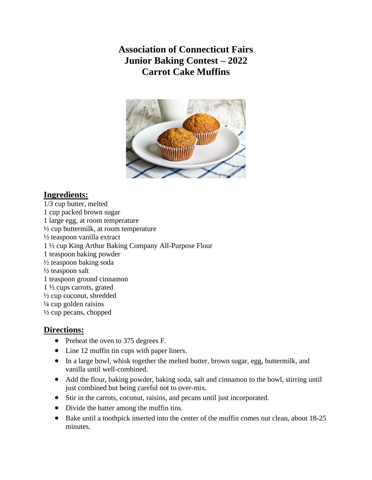**Association of Connecticut Fairs Junior Baking Contest – 2022 Carrot Cake Muffins**



## **Ingredients:**

1/3 cup butter, melted 1 cup packed brown sugar 1 large egg, at room temperature  $\frac{1}{2}$  cup buttermilk, at room temperature ½ teaspoon vanilla extract 1 ½ cup King Arthur Baking Company All-Purpose Flour 1 teaspoon baking powder ½ teaspoon baking soda ½ teaspoon salt 1 teaspoon ground cinnamon 1 ½ cups carrots, grated ½ cup coconut, shredded  $\frac{1}{4}$  cup golden raisins  $\frac{1}{2}$  cup pecans, chopped

## **Directions:**

- Preheat the oven to 375 degrees F.
- Line 12 muffin tin cups with paper liners.
- In a large bowl, whisk together the melted butter, brown sugar, egg, buttermilk, and vanilla until well-combined.
- Add the flour, baking powder, baking soda, salt and cinnamon to the bowl, stirring until just combined but being careful not to over-mix.
- Stir in the carrots, coconut, raisins, and pecans until just incorporated.
- Divide the batter among the muffin tins.
- Bake until a toothpick inserted into the center of the muffin comes out clean, about 18-25 minutes.